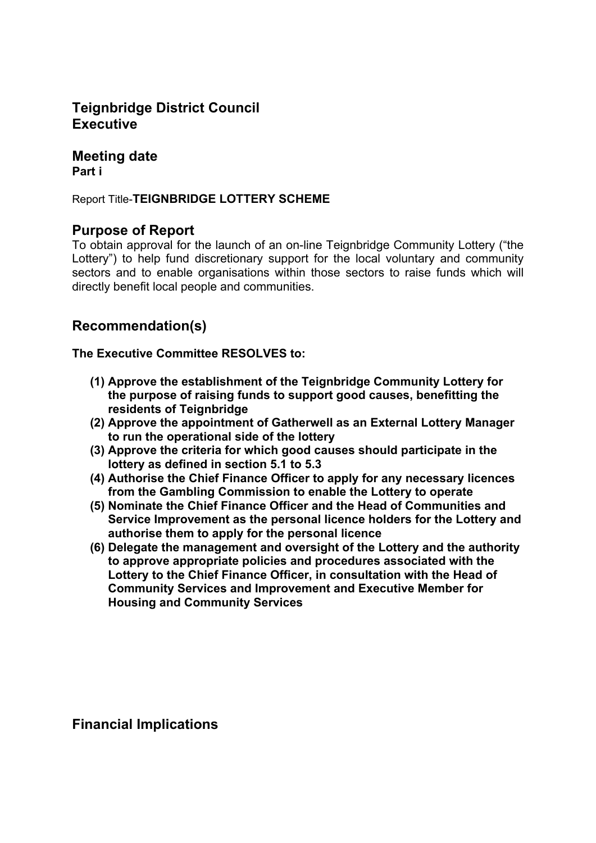## **Teignbridge District Council Executive**

#### **Meeting date Part i**

Report Title-**TEIGNBRIDGE LOTTERY SCHEME**

## **Purpose of Report**

To obtain approval for the launch of an on-line Teignbridge Community Lottery ("the Lottery") to help fund discretionary support for the local voluntary and community sectors and to enable organisations within those sectors to raise funds which will directly benefit local people and communities.

## **Recommendation(s)**

**The Executive Committee RESOLVES to:**

- **(1) Approve the establishment of the Teignbridge Community Lottery for the purpose of raising funds to support good causes, benefitting the residents of Teignbridge**
- **(2) Approve the appointment of Gatherwell as an External Lottery Manager to run the operational side of the lottery**
- **(3) Approve the criteria for which good causes should participate in the lottery as defined in section 5.1 to 5.3**
- **(4) Authorise the Chief Finance Officer to apply for any necessary licences from the Gambling Commission to enable the Lottery to operate**
- **(5) Nominate the Chief Finance Officer and the Head of Communities and Service Improvement as the personal licence holders for the Lottery and authorise them to apply for the personal licence**
- **(6) Delegate the management and oversight of the Lottery and the authority to approve appropriate policies and procedures associated with the Lottery to the Chief Finance Officer, in consultation with the Head of Community Services and Improvement and Executive Member for Housing and Community Services**

**Financial Implications**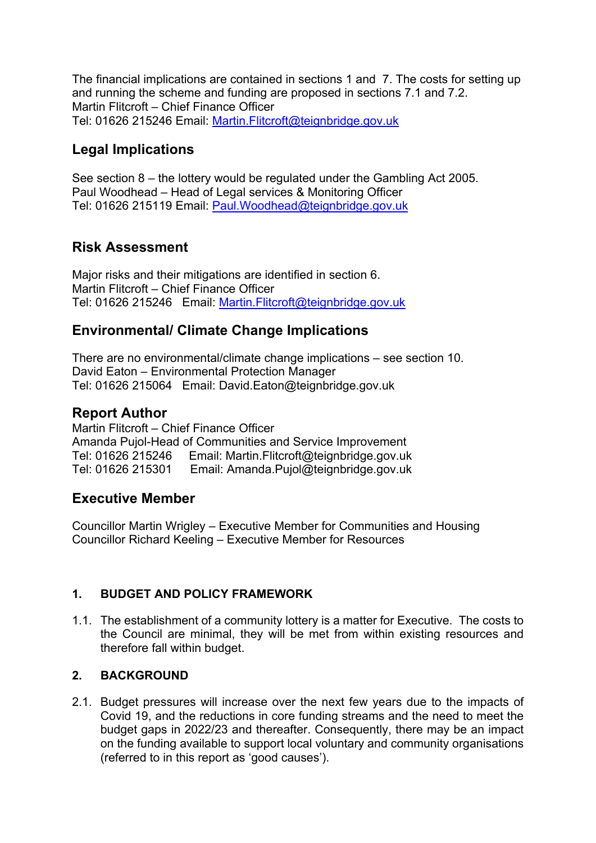The financial implications are contained in sections 1 and 7. The costs for setting up and running the scheme and funding are proposed in sections 7.1 and 7.2. Martin Flitcroft – Chief Finance Officer Tel: 01626 215246 Email: [Martin.Flitcroft@teignbridge.gov.uk](mailto:Martin.Flitcroft@teignbridge.gov.uk)

# **Legal Implications**

See section 8 – the lottery would be regulated under the Gambling Act 2005. Paul Woodhead – Head of Legal services & Monitoring Officer Tel: 01626 215119 Email: [Paul.Woodhead@teignbridge.gov.uk](mailto:Paul.Woodhead@teignbridge.gov.uk)

# **Risk Assessment**

Major risks and their mitigations are identified in section 6. Martin Flitcroft – Chief Finance Officer Tel: 01626 215246 Email: [Martin.Flitcroft@teignbridge.gov.uk](mailto:Martin.Flitcroft@teignbridge.gov.uk)

# **Environmental/ Climate Change Implications**

There are no environmental/climate change implications – see section 10. David Eaton – Environmental Protection Manager Tel: 01626 215064 Email: David.Eaton@teignbridge.gov.uk

# **Report Author**

Martin Flitcroft – Chief Finance Officer Amanda Pujol-Head of Communities and Service Improvement Tel: 01626 215246 Email: Martin.Flitcroft@teignbridge.gov.uk Tel: 01626 215301 Email: Amanda.Pujol@teignbridge.gov.uk

## **Executive Member**

Councillor Martin Wrigley – Executive Member for Communities and Housing Councillor Richard Keeling – Executive Member for Resources

## **1. BUDGET AND POLICY FRAMEWORK**

1.1. The establishment of a community lottery is a matter for Executive. The costs to the Council are minimal, they will be met from within existing resources and therefore fall within budget.

### **2. BACKGROUND**

2.1. Budget pressures will increase over the next few years due to the impacts of Covid 19, and the reductions in core funding streams and the need to meet the budget gaps in 2022/23 and thereafter. Consequently, there may be an impact on the funding available to support local voluntary and community organisations (referred to in this report as 'good causes').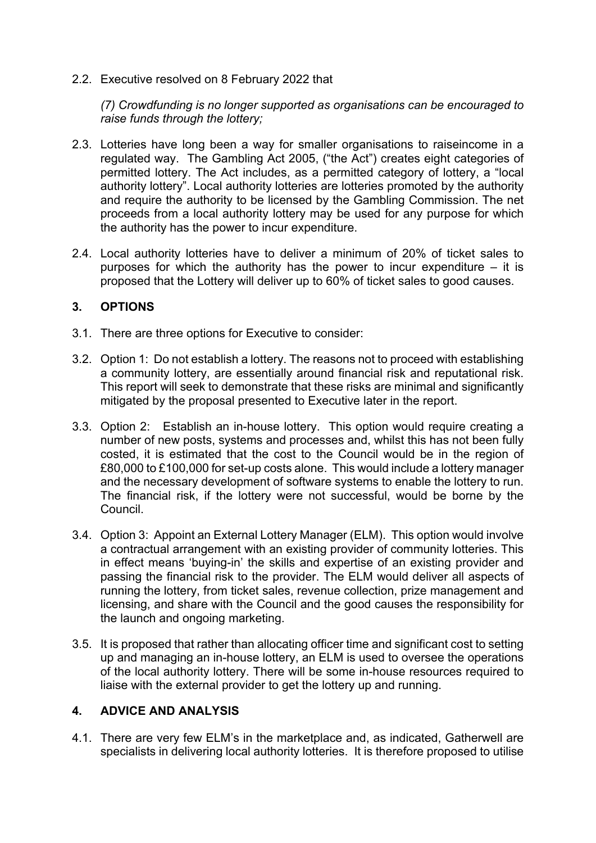2.2. Executive resolved on 8 February 2022 that

*(7) Crowdfunding is no longer supported as organisations can be encouraged to raise funds through the lottery;*

- 2.3. Lotteries have long been a way for smaller organisations to raiseincome in a regulated way. The Gambling Act 2005, ("the Act") creates eight categories of permitted lottery. The Act includes, as a permitted category of lottery, a "local authority lottery". Local authority lotteries are lotteries promoted by the authority and require the authority to be licensed by the Gambling Commission. The net proceeds from a local authority lottery may be used for any purpose for which the authority has the power to incur expenditure.
- 2.4. Local authority lotteries have to deliver a minimum of 20% of ticket sales to purposes for which the authority has the power to incur expenditure  $-$  it is proposed that the Lottery will deliver up to 60% of ticket sales to good causes.

#### **3. OPTIONS**

- 3.1. There are three options for Executive to consider:
- 3.2. Option 1: Do not establish a lottery. The reasons not to proceed with establishing a community lottery, are essentially around financial risk and reputational risk. This report will seek to demonstrate that these risks are minimal and significantly mitigated by the proposal presented to Executive later in the report.
- 3.3. Option 2: Establish an in-house lottery. This option would require creating a number of new posts, systems and processes and, whilst this has not been fully costed, it is estimated that the cost to the Council would be in the region of £80,000 to £100,000 for set-up costs alone. This would include a lottery manager and the necessary development of software systems to enable the lottery to run. The financial risk, if the lottery were not successful, would be borne by the Council.
- 3.4. Option 3: Appoint an External Lottery Manager (ELM). This option would involve a contractual arrangement with an existing provider of community lotteries. This in effect means 'buying-in' the skills and expertise of an existing provider and passing the financial risk to the provider. The ELM would deliver all aspects of running the lottery, from ticket sales, revenue collection, prize management and licensing, and share with the Council and the good causes the responsibility for the launch and ongoing marketing.
- 3.5. It is proposed that rather than allocating officer time and significant cost to setting up and managing an in-house lottery, an ELM is used to oversee the operations of the local authority lottery. There will be some in-house resources required to liaise with the external provider to get the lottery up and running.

#### **4. ADVICE AND ANALYSIS**

4.1. There are very few ELM's in the marketplace and, as indicated, Gatherwell are specialists in delivering local authority lotteries. It is therefore proposed to utilise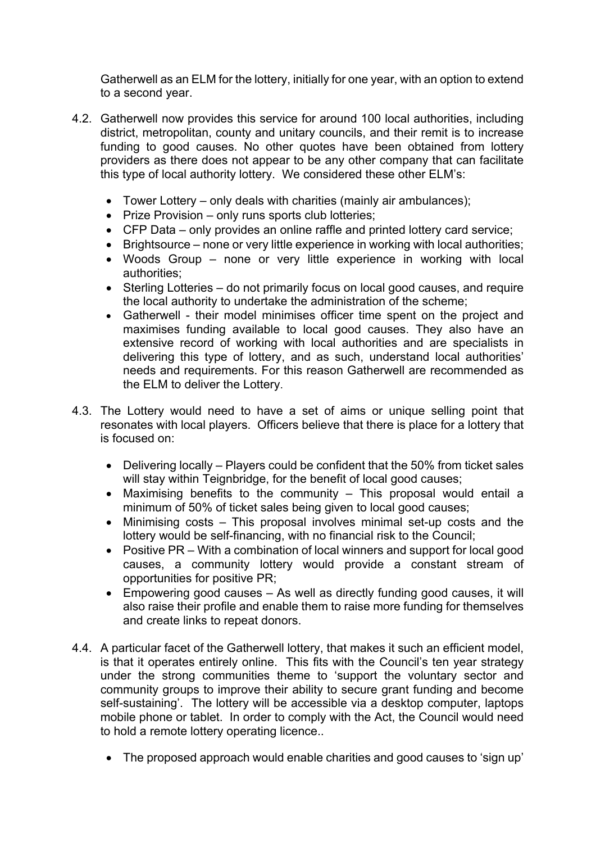Gatherwell as an ELM for the lottery, initially for one year, with an option to extend to a second year.

- 4.2. Gatherwell now provides this service for around 100 local authorities, including district, metropolitan, county and unitary councils, and their remit is to increase funding to good causes. No other quotes have been obtained from lottery providers as there does not appear to be any other company that can facilitate this type of local authority lottery. We considered these other ELM's:
	- Tower Lottery only deals with charities (mainly air ambulances);
	- Prize Provision only runs sports club lotteries:
	- CFP Data only provides an online raffle and printed lottery card service;
	- Brightsource none or very little experience in working with local authorities:
	- Woods Group none or very little experience in working with local authorities;
	- Sterling Lotteries do not primarily focus on local good causes, and require the local authority to undertake the administration of the scheme;
	- Gatherwell their model minimises officer time spent on the project and maximises funding available to local good causes. They also have an extensive record of working with local authorities and are specialists in delivering this type of lottery, and as such, understand local authorities' needs and requirements. For this reason Gatherwell are recommended as the ELM to deliver the Lottery.
- 4.3. The Lottery would need to have a set of aims or unique selling point that resonates with local players. Officers believe that there is place for a lottery that is focused on:
	- Delivering locally Players could be confident that the 50% from ticket sales will stay within Teignbridge, for the benefit of local good causes;
	- Maximising benefits to the community This proposal would entail a minimum of 50% of ticket sales being given to local good causes;
	- Minimising costs This proposal involves minimal set-up costs and the lottery would be self-financing, with no financial risk to the Council;
	- Positive PR With a combination of local winners and support for local good causes, a community lottery would provide a constant stream of opportunities for positive PR;
	- Empowering good causes As well as directly funding good causes, it will also raise their profile and enable them to raise more funding for themselves and create links to repeat donors.
- 4.4. A particular facet of the Gatherwell lottery, that makes it such an efficient model, is that it operates entirely online. This fits with the Council's ten year strategy under the strong communities theme to 'support the voluntary sector and community groups to improve their ability to secure grant funding and become self-sustaining'. The lottery will be accessible via a desktop computer, laptops mobile phone or tablet. In order to comply with the Act, the Council would need to hold a remote lottery operating licence..
	- The proposed approach would enable charities and good causes to 'sign up'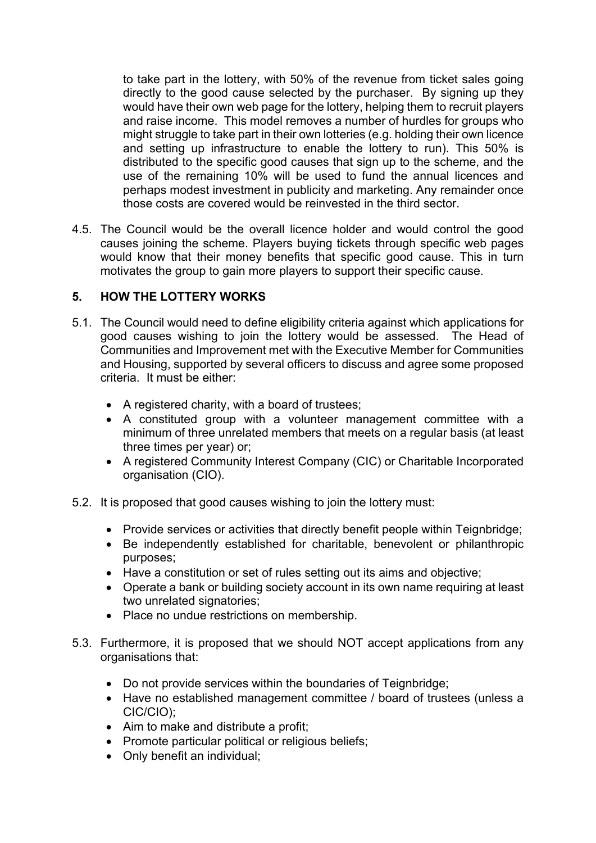to take part in the lottery, with 50% of the revenue from ticket sales going directly to the good cause selected by the purchaser. By signing up they would have their own web page for the lottery, helping them to recruit players and raise income. This model removes a number of hurdles for groups who might struggle to take part in their own lotteries (e.g. holding their own licence and setting up infrastructure to enable the lottery to run). This 50% is distributed to the specific good causes that sign up to the scheme, and the use of the remaining 10% will be used to fund the annual licences and perhaps modest investment in publicity and marketing. Any remainder once those costs are covered would be reinvested in the third sector.

4.5. The Council would be the overall licence holder and would control the good causes joining the scheme. Players buying tickets through specific web pages would know that their money benefits that specific good cause. This in turn motivates the group to gain more players to support their specific cause.

### **5. HOW THE LOTTERY WORKS**

- 5.1. The Council would need to define eligibility criteria against which applications for good causes wishing to join the lottery would be assessed. The Head of Communities and Improvement met with the Executive Member for Communities and Housing, supported by several officers to discuss and agree some proposed criteria. It must be either:
	- A registered charity, with a board of trustees;
	- A constituted group with a volunteer management committee with a minimum of three unrelated members that meets on a regular basis (at least three times per year) or;
	- A registered Community Interest Company (CIC) or Charitable Incorporated organisation (CIO).
- 5.2. It is proposed that good causes wishing to join the lottery must:
	- Provide services or activities that directly benefit people within Teignbridge;
	- Be independently established for charitable, benevolent or philanthropic purposes;
	- Have a constitution or set of rules setting out its aims and objective;
	- Operate a bank or building society account in its own name requiring at least two unrelated signatories;
	- Place no undue restrictions on membership.
- 5.3. Furthermore, it is proposed that we should NOT accept applications from any organisations that:
	- Do not provide services within the boundaries of Teignbridge;
	- Have no established management committee / board of trustees (unless a CIC/CIO);
	- Aim to make and distribute a profit;
	- Promote particular political or religious beliefs;
	- Only benefit an individual;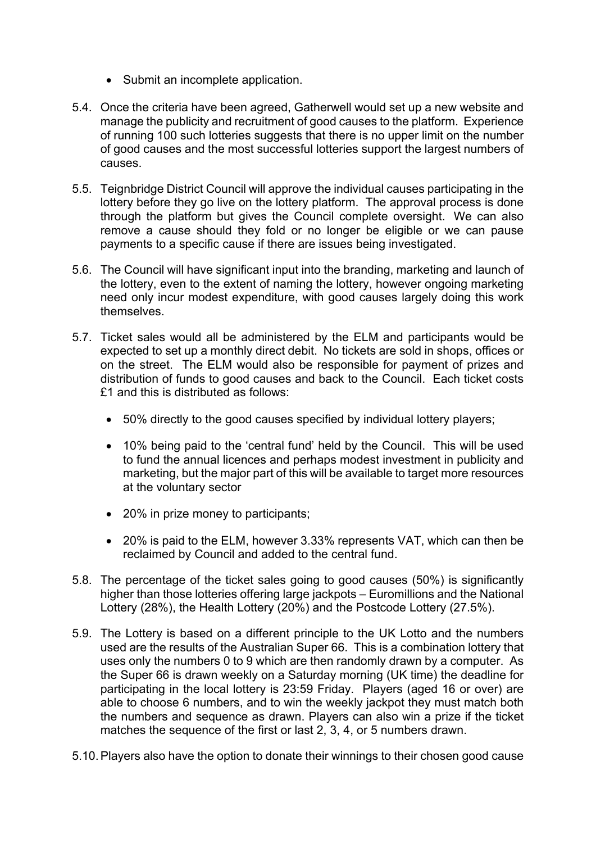- Submit an incomplete application.
- 5.4. Once the criteria have been agreed, Gatherwell would set up a new website and manage the publicity and recruitment of good causes to the platform. Experience of running 100 such lotteries suggests that there is no upper limit on the number of good causes and the most successful lotteries support the largest numbers of causes.
- 5.5. Teignbridge District Council will approve the individual causes participating in the lottery before they go live on the lottery platform. The approval process is done through the platform but gives the Council complete oversight. We can also remove a cause should they fold or no longer be eligible or we can pause payments to a specific cause if there are issues being investigated.
- 5.6. The Council will have significant input into the branding, marketing and launch of the lottery, even to the extent of naming the lottery, however ongoing marketing need only incur modest expenditure, with good causes largely doing this work themselves.
- 5.7. Ticket sales would all be administered by the ELM and participants would be expected to set up a monthly direct debit. No tickets are sold in shops, offices or on the street. The ELM would also be responsible for payment of prizes and distribution of funds to good causes and back to the Council. Each ticket costs £1 and this is distributed as follows:
	- 50% directly to the good causes specified by individual lottery players;
	- 10% being paid to the 'central fund' held by the Council. This will be used to fund the annual licences and perhaps modest investment in publicity and marketing, but the major part of this will be available to target more resources at the voluntary sector
	- 20% in prize money to participants;
	- 20% is paid to the ELM, however 3.33% represents VAT, which can then be reclaimed by Council and added to the central fund.
- 5.8. The percentage of the ticket sales going to good causes (50%) is significantly higher than those lotteries offering large jackpots – Euromillions and the National Lottery (28%), the Health Lottery (20%) and the Postcode Lottery (27.5%).
- 5.9. The Lottery is based on a different principle to the UK Lotto and the numbers used are the results of the Australian Super 66. This is a combination lottery that uses only the numbers 0 to 9 which are then randomly drawn by a computer. As the Super 66 is drawn weekly on a Saturday morning (UK time) the deadline for participating in the local lottery is 23:59 Friday. Players (aged 16 or over) are able to choose 6 numbers, and to win the weekly jackpot they must match both the numbers and sequence as drawn. Players can also win a prize if the ticket matches the sequence of the first or last 2, 3, 4, or 5 numbers drawn.
- 5.10.Players also have the option to donate their winnings to their chosen good cause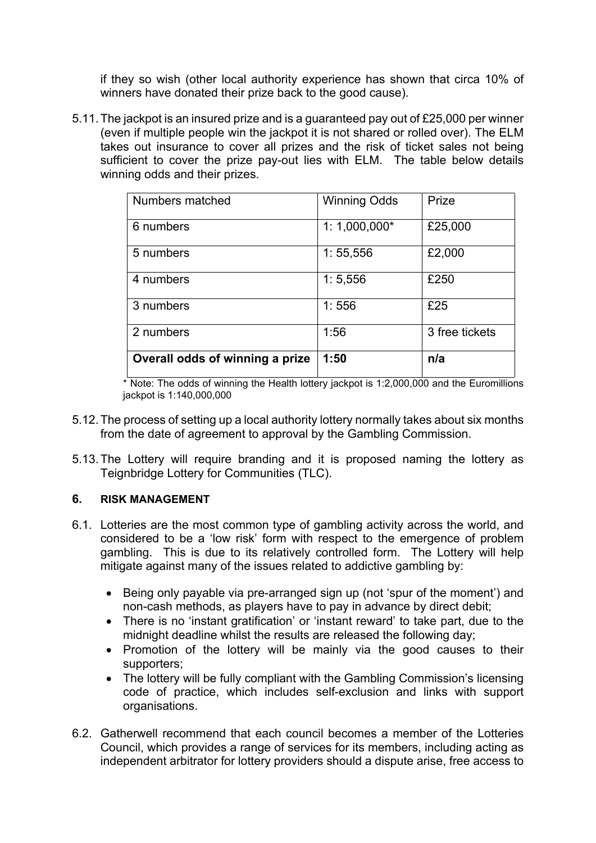if they so wish (other local authority experience has shown that circa 10% of winners have donated their prize back to the good cause).

5.11.The jackpot is an insured prize and is a guaranteed pay out of £25,000 per winner (even if multiple people win the jackpot it is not shared or rolled over). The ELM takes out insurance to cover all prizes and the risk of ticket sales not being sufficient to cover the prize pay-out lies with ELM. The table below details winning odds and their prizes.

| Numbers matched                 | <b>Winning Odds</b> | Prize          |
|---------------------------------|---------------------|----------------|
| 6 numbers                       | $1:1,000,000*$      | £25,000        |
| 5 numbers                       | 1:55,556            | £2,000         |
| 4 numbers                       | 1:5,556             | £250           |
| 3 numbers                       | 1:556               | £25            |
| 2 numbers                       | 1:56                | 3 free tickets |
| Overall odds of winning a prize | 1:50                | n/a            |

\* Note: The odds of winning the Health lottery jackpot is 1:2,000,000 and the Euromillions jackpot is 1:140,000,000

- 5.12.The process of setting up a local authority lottery normally takes about six months from the date of agreement to approval by the Gambling Commission.
- 5.13.The Lottery will require branding and it is proposed naming the lottery as Teignbridge Lottery for Communities (TLC).

#### **6. RISK MANAGEMENT**

- 6.1. Lotteries are the most common type of gambling activity across the world, and considered to be a 'low risk' form with respect to the emergence of problem gambling. This is due to its relatively controlled form. The Lottery will help mitigate against many of the issues related to addictive gambling by:
	- Being only payable via pre-arranged sign up (not 'spur of the moment') and non-cash methods, as players have to pay in advance by direct debit;
	- There is no 'instant gratification' or 'instant reward' to take part, due to the midnight deadline whilst the results are released the following day;
	- Promotion of the lottery will be mainly via the good causes to their supporters;
	- The lottery will be fully compliant with the Gambling Commission's licensing code of practice, which includes self-exclusion and links with support organisations.
- 6.2. Gatherwell recommend that each council becomes a member of the Lotteries Council, which provides a range of services for its members, including acting as independent arbitrator for lottery providers should a dispute arise, free access to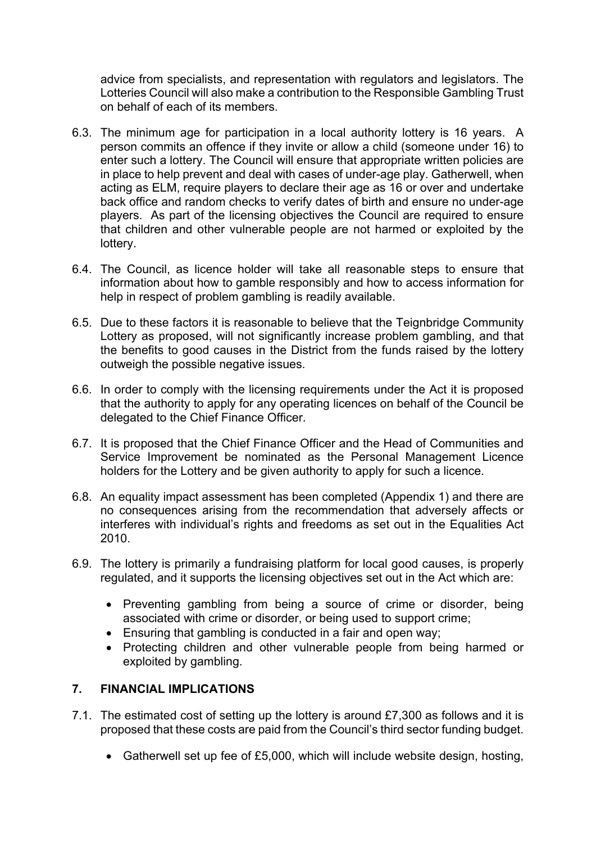advice from specialists, and representation with regulators and legislators. The Lotteries Council will also make a contribution to the Responsible Gambling Trust on behalf of each of its members.

- 6.3. The minimum age for participation in a local authority lottery is 16 years. A person commits an offence if they invite or allow a child (someone under 16) to enter such a lottery. The Council will ensure that appropriate written policies are in place to help prevent and deal with cases of under-age play. Gatherwell, when acting as ELM, require players to declare their age as 16 or over and undertake back office and random checks to verify dates of birth and ensure no under-age players. As part of the licensing objectives the Council are required to ensure that children and other vulnerable people are not harmed or exploited by the lottery.
- 6.4. The Council, as licence holder will take all reasonable steps to ensure that information about how to gamble responsibly and how to access information for help in respect of problem gambling is readily available.
- 6.5. Due to these factors it is reasonable to believe that the Teignbridge Community Lottery as proposed, will not significantly increase problem gambling, and that the benefits to good causes in the District from the funds raised by the lottery outweigh the possible negative issues.
- 6.6. In order to comply with the licensing requirements under the Act it is proposed that the authority to apply for any operating licences on behalf of the Council be delegated to the Chief Finance Officer.
- 6.7. It is proposed that the Chief Finance Officer and the Head of Communities and Service Improvement be nominated as the Personal Management Licence holders for the Lottery and be given authority to apply for such a licence.
- 6.8. An equality impact assessment has been completed (Appendix 1) and there are no consequences arising from the recommendation that adversely affects or interferes with individual's rights and freedoms as set out in the Equalities Act 2010.
- 6.9. The lottery is primarily a fundraising platform for local good causes, is properly regulated, and it supports the licensing objectives set out in the Act which are:
	- Preventing gambling from being a source of crime or disorder, being associated with crime or disorder, or being used to support crime;
	- Ensuring that gambling is conducted in a fair and open way;
	- Protecting children and other vulnerable people from being harmed or exploited by gambling.

#### **7. FINANCIAL IMPLICATIONS**

- 7.1. The estimated cost of setting up the lottery is around £7,300 as follows and it is proposed that these costs are paid from the Council's third sector funding budget.
	- Gatherwell set up fee of £5,000, which will include website design, hosting,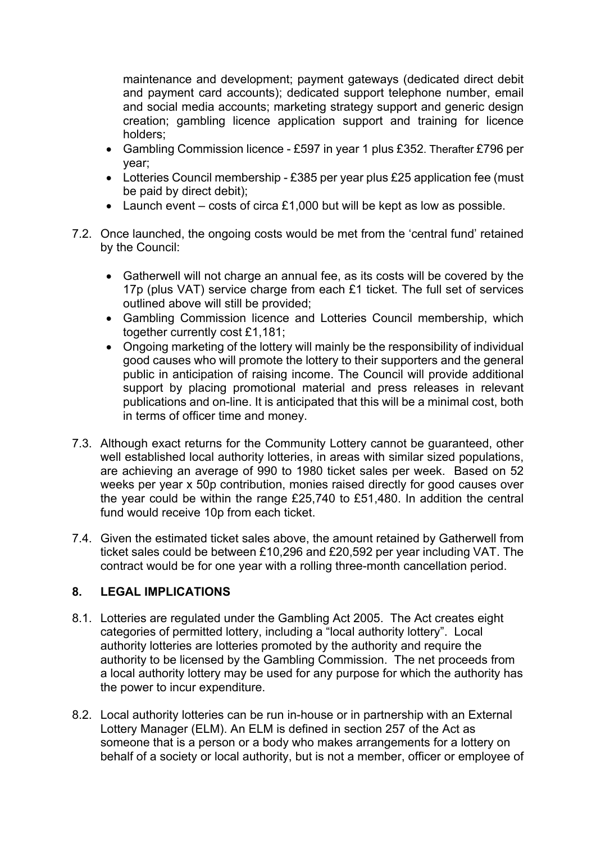maintenance and development; payment gateways (dedicated direct debit and payment card accounts); dedicated support telephone number, email and social media accounts; marketing strategy support and generic design creation; gambling licence application support and training for licence holders;

- Gambling Commission licence £597 in year 1 plus £352. Therafter £796 per year;
- Lotteries Council membership £385 per year plus £25 application fee (must be paid by direct debit);
- Launch event costs of circa £1,000 but will be kept as low as possible.
- 7.2. Once launched, the ongoing costs would be met from the 'central fund' retained by the Council:
	- Gatherwell will not charge an annual fee, as its costs will be covered by the 17p (plus VAT) service charge from each £1 ticket. The full set of services outlined above will still be provided;
	- Gambling Commission licence and Lotteries Council membership, which together currently cost £1,181;
	- Ongoing marketing of the lottery will mainly be the responsibility of individual good causes who will promote the lottery to their supporters and the general public in anticipation of raising income. The Council will provide additional support by placing promotional material and press releases in relevant publications and on-line. It is anticipated that this will be a minimal cost, both in terms of officer time and money.
- 7.3. Although exact returns for the Community Lottery cannot be guaranteed, other well established local authority lotteries, in areas with similar sized populations, are achieving an average of 990 to 1980 ticket sales per week. Based on 52 weeks per year x 50p contribution, monies raised directly for good causes over the year could be within the range £25,740 to £51,480. In addition the central fund would receive 10p from each ticket.
- 7.4. Given the estimated ticket sales above, the amount retained by Gatherwell from ticket sales could be between £10,296 and £20,592 per year including VAT. The contract would be for one year with a rolling three-month cancellation period.

### **8. LEGAL IMPLICATIONS**

- 8.1. Lotteries are regulated under the Gambling Act 2005. The Act creates eight categories of permitted lottery, including a "local authority lottery". Local authority lotteries are lotteries promoted by the authority and require the authority to be licensed by the Gambling Commission. The net proceeds from a local authority lottery may be used for any purpose for which the authority has the power to incur expenditure.
- 8.2. Local authority lotteries can be run in-house or in partnership with an External Lottery Manager (ELM). An ELM is defined in section 257 of the Act as someone that is a person or a body who makes arrangements for a lottery on behalf of a society or local authority, but is not a member, officer or employee of